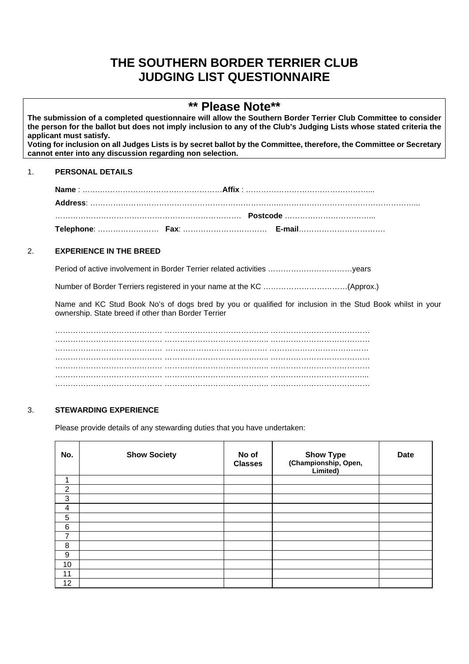# **THE SOUTHERN BORDER TERRIER CLUB JUDGING LIST QUESTIONNAIRE**

## **\*\* Please Note\*\***

**The submission of a completed questionnaire will allow the Southern Border Terrier Club Committee to consider the person for the ballot but does not imply inclusion to any of the Club's Judging Lists whose stated criteria the applicant must satisfy. Voting for inclusion on all Judges Lists is by secret ballot by the Committee, therefore, the Committee or Secretary cannot enter into any discussion regarding non selection.**

## 1. **PERSONAL DETAILS**

| <u>november 1986.000 minimum entity of the control of the control of the control of the control of the control of the control of the control of the control of the control of the control of the control of the control of the c</u> |  |
|--------------------------------------------------------------------------------------------------------------------------------------------------------------------------------------------------------------------------------------|--|
|                                                                                                                                                                                                                                      |  |

## 2. **EXPERIENCE IN THE BREED**

Period of active involvement in Border Terrier related activities ……………………………years

Number of Border Terriers registered in your name at the KC ……………………………(Approx.)

 Name and KC Stud Book No's of dogs bred by you or qualified for inclusion in the Stud Book whilst in your ownership. State breed if other than Border Terrier

 …………………………………… ………………………………….. ………………………………… …………………………………… ………………………………….. ………………………………… …………………………………… …………………………………. ………………………………… …………………………………… ………………………………….. ………………………………… …………………………………… ………………………………….. ………………………………… …………………………………… ………………………………….. ………………………………... …………………………………… ………………………………….. …………………………………

## 3. **STEWARDING EXPERIENCE**

Please provide details of any stewarding duties that you have undertaken:

| No.                     | <b>Show Society</b> | No of<br><b>Classes</b> | Show Type<br>(Championship, Open,<br>Limited) | <b>Date</b> |
|-------------------------|---------------------|-------------------------|-----------------------------------------------|-------------|
|                         |                     |                         |                                               |             |
| $\overline{2}$          |                     |                         |                                               |             |
| 3                       |                     |                         |                                               |             |
| $\overline{\mathbf{4}}$ |                     |                         |                                               |             |
| 5                       |                     |                         |                                               |             |
| 6                       |                     |                         |                                               |             |
| 7                       |                     |                         |                                               |             |
| 8                       |                     |                         |                                               |             |
| 9                       |                     |                         |                                               |             |
| 10                      |                     |                         |                                               |             |
| 11                      |                     |                         |                                               |             |
| 12                      |                     |                         |                                               |             |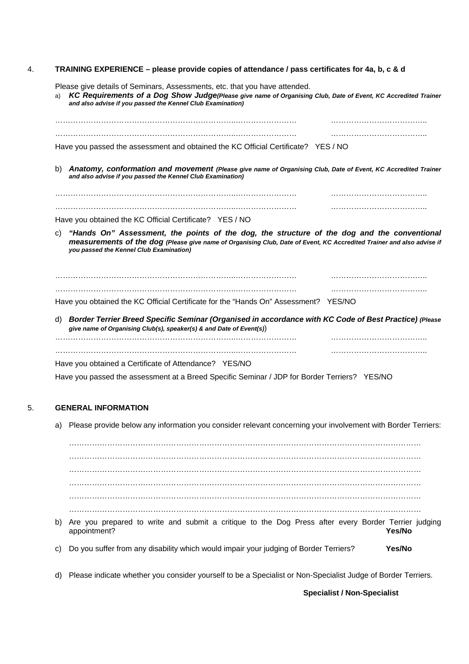#### 4. **TRAINING EXPERIENCE – please provide copies of attendance / pass certificates for 4a, b, c & d**

Please give details of Seminars, Assessments, etc. that you have attended.

| and also advise if you passed the Kennel Club Examination)                                                                                                                                                                                                            | KC Requirements of a Dog Show Judge(Please give name of Organising Club, Date of Event, KC Accredited Trainer |
|-----------------------------------------------------------------------------------------------------------------------------------------------------------------------------------------------------------------------------------------------------------------------|---------------------------------------------------------------------------------------------------------------|
|                                                                                                                                                                                                                                                                       |                                                                                                               |
|                                                                                                                                                                                                                                                                       |                                                                                                               |
| Have you passed the assessment and obtained the KC Official Certificate? YES / NO                                                                                                                                                                                     |                                                                                                               |
| Anatomy, conformation and movement (Please give name of Organising Club, Date of Event, KC Accredited Trainer<br>b)<br>and also advise if you passed the Kennel Club Examination)                                                                                     |                                                                                                               |
|                                                                                                                                                                                                                                                                       |                                                                                                               |
|                                                                                                                                                                                                                                                                       |                                                                                                               |
| Have you obtained the KC Official Certificate? YES / NO                                                                                                                                                                                                               |                                                                                                               |
| "Hands On" Assessment, the points of the dog, the structure of the dog and the conventional<br>C)<br>measurements of the dog (Please give name of Organising Club, Date of Event, KC Accredited Trainer and also advise if<br>you passed the Kennel Club Examination) |                                                                                                               |
|                                                                                                                                                                                                                                                                       |                                                                                                               |
|                                                                                                                                                                                                                                                                       |                                                                                                               |
|                                                                                                                                                                                                                                                                       |                                                                                                               |
| Have you obtained the KC Official Certificate for the "Hands On" Assessment? YES/NO                                                                                                                                                                                   |                                                                                                               |
| Border Terrier Breed Specific Seminar (Organised in accordance with KC Code of Best Practice) (Please<br>d)<br>give name of Organising Club(s), speaker(s) & and Date of Event(s))                                                                                    |                                                                                                               |
|                                                                                                                                                                                                                                                                       |                                                                                                               |
| Have you obtained a Certificate of Attendance? YES/NO                                                                                                                                                                                                                 |                                                                                                               |

Have you passed the assessment at a Breed Specific Seminar / JDP for Border Terriers? YES/NO

#### 5. **GENERAL INFORMATION**

a) Please provide below any information you consider relevant concerning your involvement with Border Terriers:

………………………………………………………………………………………………………………………… . The contract of the contract of the contract of the contract of the contract of the contract of the contract of the contract of the contract of the contract of the contract of the contract of the contract of the contrac ………………………………………………………………………………………………………………………… . The contract of the contract of the contract of the contract of the contract of the contract of the contract of the contract of the contract of the contract of the contract of the contract of the contract of the contrac ………………………………………………………………………………………………………………………… ………………………………………………………………………………………………………………………… b) Are you prepared to write and submit a critique to the Dog Press after every Border Terrier judging appointment? **Yes/No**

- c) Do you suffer from any disability which would impair your judging of Border Terriers? **Yes/No**
- d) Please indicate whether you consider yourself to be a Specialist or Non-Specialist Judge of Border Terriers.

**Specialist / Non-Specialist**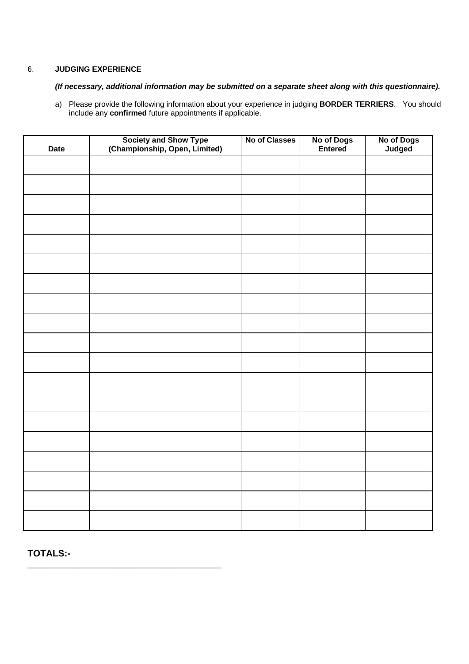## 6. **JUDGING EXPERIENCE**

## *(If necessary, additional information may be submitted on a separate sheet along with this questionnaire).*

a) Please provide the following information about your experience in judging **BORDER TERRIERS**. You should include any **confirmed** future appointments if applicable.

| <b>Date</b> | Society and Show Type<br>(Championship, Open, Limited) | No of Classes | No of Dogs<br>Entered | No of Dogs<br>Judged |
|-------------|--------------------------------------------------------|---------------|-----------------------|----------------------|
|             |                                                        |               |                       |                      |
|             |                                                        |               |                       |                      |
|             |                                                        |               |                       |                      |
|             |                                                        |               |                       |                      |
|             |                                                        |               |                       |                      |
|             |                                                        |               |                       |                      |
|             |                                                        |               |                       |                      |
|             |                                                        |               |                       |                      |
|             |                                                        |               |                       |                      |
|             |                                                        |               |                       |                      |
|             |                                                        |               |                       |                      |
|             |                                                        |               |                       |                      |
|             |                                                        |               |                       |                      |
|             |                                                        |               |                       |                      |
|             |                                                        |               |                       |                      |
|             |                                                        |               |                       |                      |
|             |                                                        |               |                       |                      |
|             |                                                        |               |                       |                      |
|             |                                                        |               |                       |                      |

**TOTALS:-** 

**\_\_\_\_\_\_\_\_\_\_\_\_\_\_\_\_\_\_\_\_\_\_\_\_\_\_\_\_\_\_\_\_\_\_\_\_\_\_**